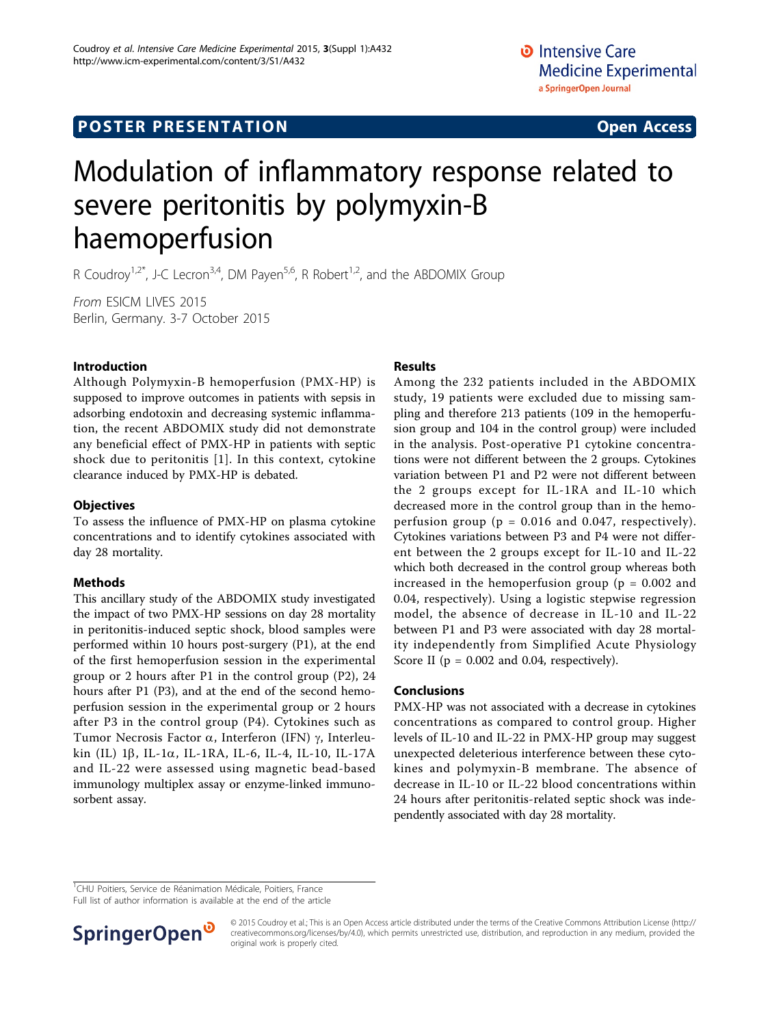# **POSTER PRESENTATION CONSUMING ACCESS**

# Modulation of inflammatory response related to severe peritonitis by polymyxin-B haemoperfusion

R Coudroy<sup>1,2\*</sup>, J-C Lecron<sup>3,4</sup>, DM Payen<sup>5,6</sup>, R Robert<sup>1,2</sup>, and the ABDOMIX Group

From ESICM LIVES 2015 Berlin, Germany. 3-7 October 2015

## Introduction

Although Polymyxin-B hemoperfusion (PMX-HP) is supposed to improve outcomes in patients with sepsis in adsorbing endotoxin and decreasing systemic inflammation, the recent ABDOMIX study did not demonstrate any beneficial effect of PMX-HP in patients with septic shock due to peritonitis [[1\]](#page-1-0). In this context, cytokine clearance induced by PMX-HP is debated.

## **Objectives**

To assess the influence of PMX-HP on plasma cytokine concentrations and to identify cytokines associated with day 28 mortality.

## Methods

This ancillary study of the ABDOMIX study investigated the impact of two PMX-HP sessions on day 28 mortality in peritonitis-induced septic shock, blood samples were performed within 10 hours post-surgery (P1), at the end of the first hemoperfusion session in the experimental group or 2 hours after P1 in the control group (P2), 24 hours after P1 (P3), and at the end of the second hemoperfusion session in the experimental group or 2 hours after P3 in the control group (P4). Cytokines such as Tumor Necrosis Factor  $\alpha$ , Interferon (IFN)  $\gamma$ , Interleukin (IL)  $1\beta$ , IL-1 $\alpha$ , IL-1RA, IL-6, IL-4, IL-10, IL-17A and IL-22 were assessed using magnetic bead-based immunology multiplex assay or enzyme-linked immunosorbent assay.

## Results

Among the 232 patients included in the ABDOMIX study, 19 patients were excluded due to missing sampling and therefore 213 patients (109 in the hemoperfusion group and 104 in the control group) were included in the analysis. Post-operative P1 cytokine concentrations were not different between the 2 groups. Cytokines variation between P1 and P2 were not different between the 2 groups except for IL-1RA and IL-10 which decreased more in the control group than in the hemoperfusion group ( $p = 0.016$  and 0.047, respectively). Cytokines variations between P3 and P4 were not different between the 2 groups except for IL-10 and IL-22 which both decreased in the control group whereas both increased in the hemoperfusion group ( $p = 0.002$  and 0.04, respectively). Using a logistic stepwise regression model, the absence of decrease in IL-10 and IL-22 between P1 and P3 were associated with day 28 mortality independently from Simplified Acute Physiology Score II ( $p = 0.002$  and 0.04, respectively).

## Conclusions

PMX-HP was not associated with a decrease in cytokines concentrations as compared to control group. Higher levels of IL-10 and IL-22 in PMX-HP group may suggest unexpected deleterious interference between these cytokines and polymyxin-B membrane. The absence of decrease in IL-10 or IL-22 blood concentrations within 24 hours after peritonitis-related septic shock was independently associated with day 28 mortality.

<sup>1</sup>CHU Poitiers, Service de Réanimation Médicale, Poitiers, France

Full list of author information is available at the end of the article



© 2015 Coudroy et al.; This is an Open Access article distributed under the terms of the Creative Commons Attribution License [\(http://](http://creativecommons.org/licenses/by/4.0) [creativecommons.org/licenses/by/4.0](http://creativecommons.org/licenses/by/4.0)), which permits unrestricted use, distribution, and reproduction in any medium, provided the original work is properly cited.